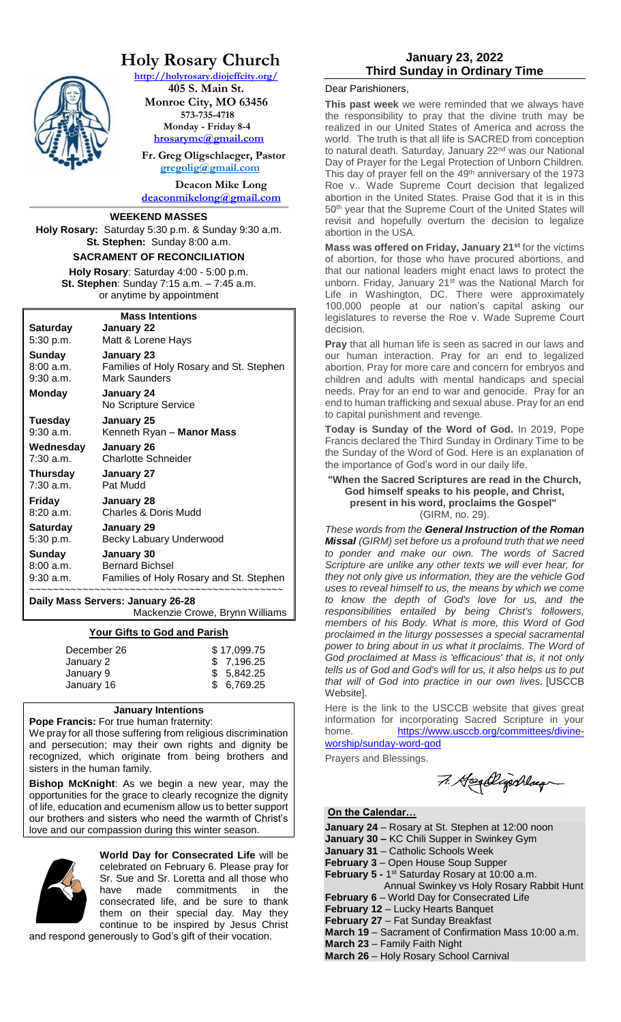

# **Holy Rosary Church**

**<http://holyrosary.diojeffcity.org/>**

**405 S. Main St. Monroe City, MO 63456 573-735-4718 Monday - Friday 8-4 [hrosarymc@gmail.com](mailto:hrosarymc@gmail.com)**

 **Fr. Greg Oligschlaeger, Pastor [gregolig@gmail.com](mailto:gregolig@gmail.com)**

**Deacon Mike Long [deaconmikelong@gmail.com](mailto:deaconmikelong@gmail.com)**

#### **WEEKEND MASSES**

**Holy Rosary:** Saturday 5:30 p.m. & Sunday 9:30 a.m. **St. Stephen:** Sunday 8:00 a.m.

#### **SACRAMENT OF RECONCILIATION**

**Holy Rosary**: Saturday 4:00 - 5:00 p.m. **St. Stephen**: Sunday 7:15 a.m. – 7:45 a.m. or anytime by appointment

| <b>Mass Intentions</b>            |                                                                                           |  |
|-----------------------------------|-------------------------------------------------------------------------------------------|--|
| Saturday                          | January 22                                                                                |  |
| 5:30 p.m.                         | Matt & Lorene Hays                                                                        |  |
| Sunday                            | January 23                                                                                |  |
| 8:00 a.m.<br>9:30 a.m.            | Families of Holy Rosary and St. Stephen<br><b>Mark Saunders</b>                           |  |
| Monday                            | January 24<br>No Scripture Service                                                        |  |
| Tuesday<br>$9:30$ a.m.            | <b>January 25</b><br>Kenneth Ryan - Manor Mass                                            |  |
| Wednesday<br>$7:30$ a.m.          | January 26<br><b>Charlotte Schneider</b>                                                  |  |
| Thursday<br>7:30 a.m.             | January 27<br>Pat Mudd                                                                    |  |
| Friday<br>8:20 a.m.               | January 28<br><b>Charles &amp; Doris Mudd</b>                                             |  |
| Saturday<br>5:30 p.m.             | January 29<br>Becky Labuary Underwood                                                     |  |
| Sunday<br>8:00 a.m.               | January 30<br><b>Bernard Bichsel</b><br>9:30 a.m. Families of Holy Rosary and St. Stephen |  |
| Daily Mass Servers: January 26-28 |                                                                                           |  |

Mackenzie Crowe, Brynn Williams

#### **Your Gifts to God and Parish**

| December 26 | \$17,099.75 |
|-------------|-------------|
| January 2   | \$7,196.25  |
| January 9   | \$5.842.25  |
| January 16  | \$6,769.25  |
|             |             |

# **January Intentions**

**Pope Francis:** For true human fraternity: We pray for all those suffering from religious discrimination and persecution; may their own rights and dignity be recognized, which originate from being brothers and sisters in the human family.

**Bishop McKnight**: As we begin a new year, may the opportunities for the grace to clearly recognize the dignity of life, education and ecumenism allow us to better support our brothers and sisters who need the warmth of Christ's love and our compassion during this winter season.



**World Day for Consecrated Life** will be celebrated on February 6. Please pray for Sr. Sue and Sr. Loretta and all those who have made commitments in the consecrated life, and be sure to thank them on their special day. May they continue to be inspired by Jesus Christ

and respond generously to God's gift of their vocation.

# **January 23, 2022 Third Sunday in Ordinary Time**

#### Dear Parishioners,

**This past week** we were reminded that we always have the responsibility to pray that the divine truth may be realized in our United States of America and across the world. The truth is that all life is SACRED from conception to natural death. Saturday, January 22<sup>nd</sup> was our National Day of Prayer for the Legal Protection of Unborn Children. This day of prayer fell on the 49<sup>th</sup> anniversary of the 1973 Roe v.. Wade Supreme Court decision that legalized abortion in the United States. Praise God that it is in this 50<sup>th</sup> year that the Supreme Court of the United States will revisit and hopefully overturn the decision to legalize abortion in the USA.

**Mass was offered on Friday, January 21st** for the victims of abortion, for those who have procured abortions, and that our national leaders might enact laws to protect the unborn. Friday, January 21<sup>st</sup> was the National March for Life in Washington, DC. There were approximately 100,000 people at our nation's capital asking our legislatures to reverse the Roe v. Wade Supreme Court decision.

**Pray** that all human life is seen as sacred in our laws and our human interaction. Pray for an end to legalized abortion. Pray for more care and concern for embryos and children and adults with mental handicaps and special needs. Pray for an end to war and genocide. Pray for an end to human trafficking and sexual abuse. Pray for an end to capital punishment and revenge.

**Today is Sunday of the Word of God.** In 2019, Pope Francis declared the Third Sunday in Ordinary Time to be the Sunday of the Word of God. Here is an explanation of the importance of God's word in our daily life.

#### **"When the Sacred Scriptures are read in the Church, God himself speaks to his people, and Christ, present in his word, proclaims the Gospel"** (GIRM, no. 29).

*These words from the General [Instruction](https://www.usccb.org/prayer-and-worship/the-mass/general-instruction-of-the-roman-missal/index.cfm) of the Roman [Missal](https://www.usccb.org/prayer-and-worship/the-mass/general-instruction-of-the-roman-missal/index.cfm) (GIRM) set before us a profound truth that we need to ponder and make our own. The words of Sacred Scripture are unlike any other texts we will ever hear, for they not only give us information, they are the vehicle God uses to reveal himself to us, the means by which we come to know the depth of God's love for us, and the responsibilities entailed by being Christ's followers, members of his Body. What is more, this Word of God proclaimed in the liturgy possesses a special sacramental power to bring about in us what it proclaims. The Word of God proclaimed at Mass is 'efficacious' that is, it not only tells us of God and God's will for us, it also helps us to put that will of God into practice in our own lives.* [USCCB Website].

Here is the link to the USCCB website that gives great information for incorporating Sacred Scripture in your home. [https://www.usccb.org/committees/divine](https://www.usccb.org/committees/divine-worship/sunday-word-god)[worship/sunday-word-god](https://www.usccb.org/committees/divine-worship/sunday-word-god)

Prayers and Blessings.

7. Heallyschlag

### **On the Calendar…**

**January 24** – Rosary at St. Stephen at 12:00 noon

**January 30 –** KC Chili Supper in Swinkey Gym

**January 31** – Catholic Schools Week

**February 3** – Open House Soup Supper

February 5 - 1<sup>st</sup> Saturday Rosary at 10:00 a.m.

 Annual Swinkey vs Holy Rosary Rabbit Hunt **February 6** – World Day for Consecrated Life

**February 12** – Lucky Hearts Banquet

**February 27** – Fat Sunday Breakfast

**March 19** – Sacrament of Confirmation Mass 10:00 a.m.

**March 23** – Family Faith Night

**March 26** – Holy Rosary School Carnival